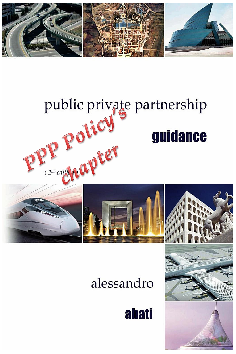

## public private partnership public private guidance

## alessandro

**abati** 

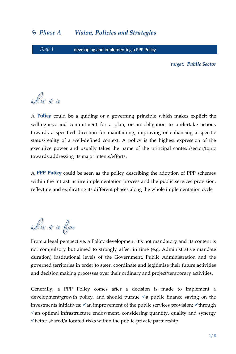*Step 1* developing and implementing a PPP Policy

*target: Public Sector*

what it is

A **Policy** could be a guiding or a governing principle which makes explicit the willingness and commitment for a plan, or an obligation to undertake actions towards a specified direction for maintaining, improving or enhancing a specific status/reality of a well-defined context. A policy is the highest expression of the executive power and usually takes the name of the principal context/sector/topic towards addressing its major intents/efforts.

A **PPP Policy** could be seen as the policy describing the adoption of PPP schemes within the infrastructure implementation process and the public services provision, reflecting and explicating its different phases along the whole implementation cycle

what it is for

From a legal perspective, a Policy development it's not mandatory and its content is not compulsory but aimed to strongly affect in time (e.g. Administrative mandate duration) institutional levels of the Government, Public Administration and the governed territories in order to steer, coordinate and legitimise their future activities and decision making processes over their ordinary and project/temporary activities.

Generally, a PPP Policy comes after a decision is made to implement a development/growth policy, and should pursue  $\checkmark$  a public finance saving on the investments initiatives;  $\checkmark$  an improvement of the public services provision;  $\checkmark$  through  $\checkmark$  an optimal infrastructure endowment, considering quantity, quality and synergy better shared/allocated risks within the public-private partnership.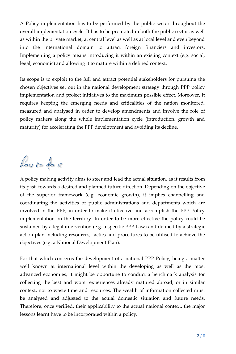A Policy implementation has to be performed by the public sector throughout the overall implementation cycle. It has to be promoted in both the public sector as well as within the private market, at central level as well as at local level and even beyond into the international domain to attract foreign financiers and investors. Implementing a policy means introducing it within an existing context (e.g. social, legal, economic) and allowing it to mature within a defined context.

Its scope is to exploit to the full and attract potential stakeholders for pursuing the chosen objectives set out in the national development strategy through PPP policy implementation and project initiatives to the maximum possible effect. Moreover, it requires keeping the emerging needs and criticalities of the nation monitored, measured and analysed in order to develop amendments and involve the role of policy makers along the whole implementation cycle (introduction, growth and maturity) for accelerating the PPP development and avoiding its decline.

how to do it

A policy making activity aims to steer and lead the actual situation, as it results from its past, towards a desired and planned future direction. Depending on the objective of the superior framework (e.g. economic growth), it implies channelling and coordinating the activities of public administrations and departments which are involved in the PPP, in order to make it effective and accomplish the PPP Policy implementation on the territory. In order to be more effective the policy could be sustained by a legal intervention (e.g. a specific PPP Law) and defined by a strategic action plan including resources, tactics and procedures to be utilised to achieve the objectives (e.g. a National Development Plan).

For that which concerns the development of a national PPP Policy, being a matter well known at international level within the developing as well as the most advanced economies, it might be opportune to conduct a benchmark analysis for collecting the best and worst experiences already matured abroad, or in similar context, not to waste time and resources. The wealth of information collected must be analysed and adjusted to the actual domestic situation and future needs. Therefore, once verified, their applicability to the actual national context, the major lessons learnt have to be incorporated within a policy.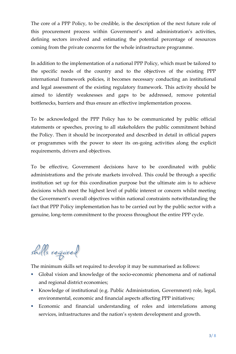The core of a PPP Policy, to be credible, is the description of the next future role of this procurement process within Government's and administration's activities, defining sectors involved and estimating the potential percentage of resources coming from the private concerns for the whole infrastructure programme.

In addition to the implementation of a national PPP Policy, which must be tailored to the specific needs of the country and to the objectives of the existing PPP international framework policies, it becomes necessary conducting an institutional and legal assessment of the existing regulatory framework. This activity should be aimed to identify weaknesses and gaps to be addressed, remove potential bottlenecks, barriers and thus ensure an effective implementation process.

To be acknowledged the PPP Policy has to be communicated by public official statements or speeches, proving to all stakeholders the public commitment behind the Policy. Then it should be incorporated and described in detail in official papers or programmes with the power to steer its on-going activities along the explicit requirements, drivers and objectives.

To be effective, Government decisions have to be coordinated with public administrations and the private markets involved. This could be through a specific institution set up for this coordination purpose but the ultimate aim is to achieve decisions which meet the highest level of public interest or concern whilst meeting the Government's overall objectives within national constraints notwithstanding the fact that PPP Policy implementation has to be carried out by the public sector with a genuine, long-term commitment to the process throughout the entire PPP cycle.

skills required

The minimum skills set required to develop it may be summarised as follows:

- Global vision and knowledge of the socio-economic phenomena and of national and regional district economies;
- Knowledge of institutional (e.g. Public Administration, Government) role, legal, environmental, economic and financial aspects affecting PPP initiatives;
- Economic and financial understanding of roles and interrelations among services, infrastructures and the nation's system development and growth.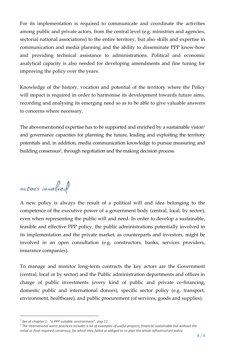For its implementation is required to communicate and coordinate the activities among public and private actors, from the central level (e.g. ministries and agencies, sectorial national associations) to the entire territory, but also skills and expertise in communication and media planning and the ability to disseminate PPP know-how and providing technical assistance to administrations. Political and economic analytical capacity is also needed for developing amendments and fine tuning for improving the policy over the years.

Knowledge of the history, vocation and potential of the territory where the Policy will impact is required in order to harmonise its development towards future aims, recording and analysing its emerging need so as to be able to give valuable answers to concerns where necessary.

The abovementioned expertise has to be supported and enriched by a sustainable vision<sup>1</sup> and governance capacities for planning the future, leading and exploiting the territory potentials and, in addition, media communication knowledge to pursue measuring and building consensus<sup>2</sup>, through negotiation and the making decision process.

actors involved

A new policy is always the result of a political will and idea belonging to the competence of the executive power of a government body (central, local, by sector), even when representing the public will and need. In order to develop a sustainable, feasible and effective PPP policy, the public administrations potentially involved in its implementation and the private market, as counterparts and investors, might be involved in an open consultation (e.g. constructors, banks, services providers, insurance companies).

To manage and monitor long-term contracts the key actors are the Government (central, local or by sector) and the Public administration departments and offices in charge of public investments (every kind of public and private co-financing, domestic public and international donors), specific sector policy (e.g. transport, environment, healthcare), and public procurement (of services, goods and supplies).

 $\overline{a}$ 

*<sup>1</sup> See at chapter 1: "a PPP suitable environment", pag 11.*

*<sup>2</sup> The international worst practices includes a lot of examples of useful projects, financial sustainable but without the initial or final required consensus, for which they failed or obliged to re-plan the whole infrastructure policy.*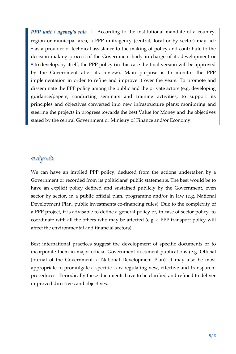*PPP unit / agency's role |* According to the institutional mandate of a country, region or municipal area, a PPP unit/agency (central, local or by sector) may act: as a provider of technical assistance to the making of policy and contribute to the decision making process of the Government body in charge of its development or to develop, by itself, the PPP policy (in this case the final version will be approved by the Government after its review). Main purpose is to monitor the PPP implementation in order to refine and improve it over the years. To promote and disseminate the PPP policy among the public and the private actors (e.g. developing guidance/papers, conducting seminars and training activities; to support its principles and objectives converted into new infrastructure plans; monitoring and steering the projects in progress towards the best Value for Money and the objectives stated by the central Government or Ministry of Finance and/or Economy.

## outputs

We can have an implied PPP policy, deduced from the actions undertaken by a Government or recorded from its politicians' public statements. The best would be to have an explicit policy defined and sustained publicly by the Government, even sector by sector, in a public official plan, programme and/or in law (e.g. National Development Plan, public investments co-financing rules). Due to the complexity of a PPP project, it is advisable to define a general policy or, in case of sector policy, to coordinate with all the others who may be affected (e.g. a PPP transport policy will affect the environmental and financial sectors).

Best international practices suggest the development of specific documents or to incorporate them in major official Government document publications (e.g. Official Journal of the Government, a National Development Plan). It may also be most appropriate to promulgate a specific Law regulating new, effective and transparent procedures. Periodically these documents have to be clarified and refined to deliver improved directives and objectives.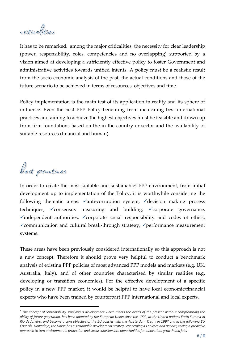criticalities

It has to be remarked, among the major criticalities, the necessity for clear leadership (power, responsibility, roles, competencies and no overlapping) supported by a vision aimed at developing a sufficiently effective policy to foster Government and administrative activities towards unified intents. A policy must be a realistic result from the socio-economic analysis of the past, the actual conditions and those of the future scenario to be achieved in terms of resources, objectives and time.

Policy implementation is the main test of its application in reality and its sphere of influence. Even the best PPP Policy benefiting from inculcating best international practices and aiming to achieve the highest objectives must be feasible and drawn up from firm foundations based on the in the country or sector and the availability of suitable resources (financial and human).

best practices

 $\overline{a}$ 

In order to create the most suitable and sustainable*<sup>3</sup>* PPP environment, from initial development up to implementation of the Policy, it is worthwhile considering the following thematic areas:  $\checkmark$  anti-corruption system,  $\checkmark$  decision making process techniques,  $\checkmark$  consensus measuring and building,  $\checkmark$  corporate governance,  $\checkmark$  independent authorities,  $\checkmark$  corporate social responsibility and codes of ethics,  $\checkmark$  communication and cultural break-through strategy,  $\checkmark$  performance measurement systems.

These areas have been previously considered internationally so this approach is not a new concept. Therefore it should prove very helpful to conduct a benchmark analysis of existing PPP policies of most advanced PPP models and markets (e.g. UK, Australia, Italy), and of other countries characterised by similar realities (e.g. developing or transition economies). For the effective development of a specific policy in a new PPP market, it would be helpful to have local economic/financial experts who have been trained by counterpart PPP international and local experts.

*<sup>3</sup> The concept of Sustainability, implying a development which meets the needs of the present without compromising the ability of future generation, has been adopted by the European Union since the 1992, at the United nations Earth Summit in Rio de Janeiro, and become a core objective of the EU policies with the Amsterdam Treaty in 1997 and in the following EU Councils. Nowadays, the Union has a sustainable development strategy concerning its policies and actions, taking a proactive approach to turn environmental protection and social cohesion into opportunities for innovation, growth and jobs.*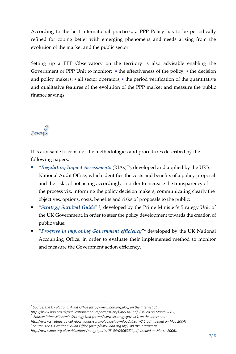According to the best international practices, a PPP Policy has to be periodically refined for coping better with emerging phenomena and needs arising from the evolution of the market and the public sector.

Setting up a PPP Observatory on the territory is also advisable enabling the Government or PPP Unit to monitor:  $\bullet$  the effectiveness of the policy;  $\bullet$  the decision and policy makers;  $\bullet$  all sector operators;  $\bullet$  the period verification of the quantitative and qualitative features of the evolution of the PPP market and measure the public finance savings.

tools

 $\overline{a}$ 

It is advisable to consider the methodologies and procedures described by the following papers:

- "*Regulatory Impact Assessments* (RIAs)"<sup>4</sup> , developed and applied by the UK's National Audit Office, which identifies the costs and benefits of a policy proposal and the risks of not acting accordingly in order to increase the transparency of the process viz. informing the policy decision makers; communicating clearly the objectives, options, costs, benefits and risks of proposals to the public;
- **The "Strategy Survival Guide"** <sup>5</sup>, developed by the Prime Minister's Strategy Unit of the UK Government, in order to steer the policy development towards the creation of public value;
- **•** "Progress in improving Government efficiency"<sup>6</sup> developed by the UK National Accounting Office, in order to evaluate their implemented method to monitor and measure the Government action efficiency.

<sup>&</sup>lt;sup>4</sup> Source: the UK National Audit Office (http://www.nao.org.uk/), on the Internet at

*http://www.nao.org.uk/publications/nao\_reports/04-05/0405341.pdf (issued on March 2005).*

*<sup>5</sup> Source: Prime Minister's Strategy Unit (http://www.strategy.gov.uk ), on the Internet at* 

*http://www.strategy.gov.uk/downloads/survivalguide/downloads/ssg\_v2.1.pdf (issued on May 2004)*

*<sup>6</sup> Source: the UK National Audit Office (http://www.nao.org.uk/), on the Internet at* 

*http://www.nao.org.uk/publications/nao\_reports/05-06/0506802i.pdf (issued on March 2006).*